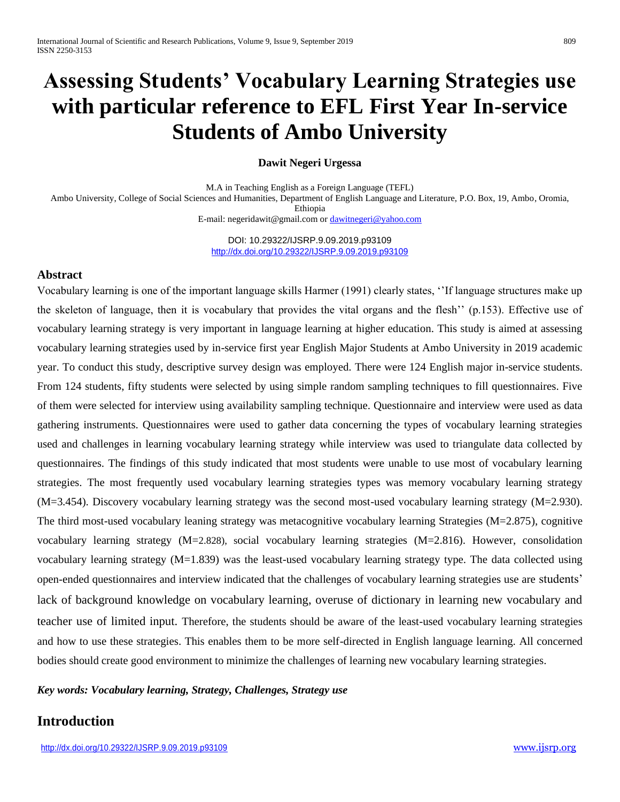# **Assessing Students' Vocabulary Learning Strategies use with particular reference to EFL First Year In-service Students of Ambo University**

#### **Dawit Negeri Urgessa**

M.A in Teaching English as a Foreign Language (TEFL)

Ambo University, College of Social Sciences and Humanities, Department of English Language and Literature, P.O. Box, 19, Ambo, Oromia, Ethiopia E-[mail: negeridawit@gmail.com o](mailto:negeridawit@gmail.com)r [dawitnegeri@yahoo.com](mailto:dawitnegeri@yahoo.com)

> DOI: 10.29322/IJSRP.9.09.2019.p93109 <http://dx.doi.org/10.29322/IJSRP.9.09.2019.p93109>

#### **Abstract**

Vocabulary learning is one of the important language skills Harmer (1991) clearly states, ''If language structures make up the skeleton of language, then it is vocabulary that provides the vital organs and the flesh'' (p.153). Effective use of vocabulary learning strategy is very important in language learning at higher education. This study is aimed at assessing vocabulary learning strategies used by in-service first year English Major Students at Ambo University in 2019 academic year. To conduct this study, descriptive survey design was employed. There were 124 English major in-service students. From 124 students, fifty students were selected by using simple random sampling techniques to fill questionnaires. Five of them were selected for interview using availability sampling technique. Questionnaire and interview were used as data gathering instruments. Questionnaires were used to gather data concerning the types of vocabulary learning strategies used and challenges in learning vocabulary learning strategy while interview was used to triangulate data collected by questionnaires. The findings of this study indicated that most students were unable to use most of vocabulary learning strategies. The most frequently used vocabulary learning strategies types was memory vocabulary learning strategy (M=3.454). Discovery vocabulary learning strategy was the second most-used vocabulary learning strategy (M=2.930). The third most-used vocabulary leaning strategy was metacognitive vocabulary learning Strategies (M=2.875), cognitive vocabulary learning strategy (M=2.828), social vocabulary learning strategies (M=2.816). However, consolidation vocabulary learning strategy (M=1.839) was the least-used vocabulary learning strategy type. The data collected using open-ended questionnaires and interview indicated that the challenges of vocabulary learning strategies use are students' lack of background knowledge on vocabulary learning, overuse of dictionary in learning new vocabulary and teacher use of limited input. Therefore, the students should be aware of the least-used vocabulary learning strategies and how to use these strategies. This enables them to be more self-directed in English language learning. All concerned bodies should create good environment to minimize the challenges of learning new vocabulary learning strategies.

*Key words: Vocabulary learning, Strategy, Challenges, Strategy use*

### **Introduction**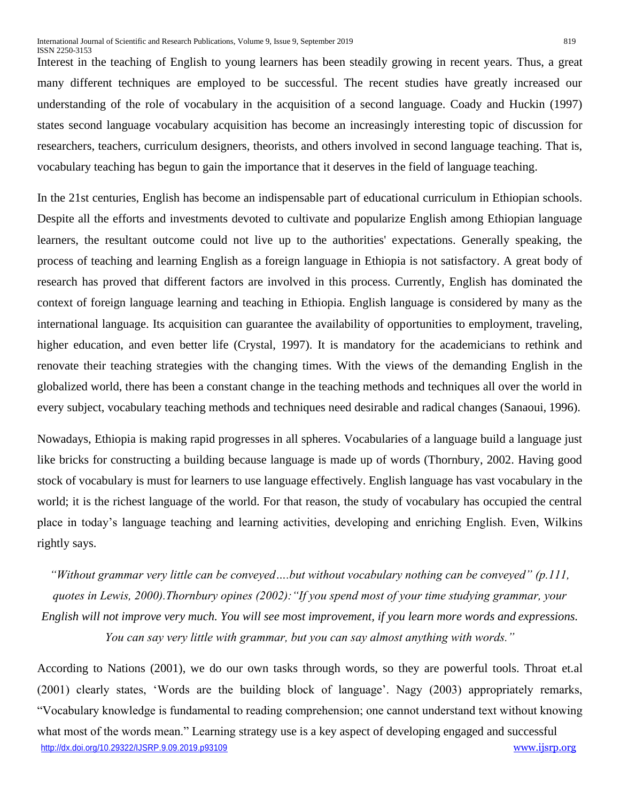Interest in the teaching of English to young learners has been steadily growing in recent years. Thus, a great many different techniques are employed to be successful. The recent studies have greatly increased our understanding of the role of vocabulary in the acquisition of a second language. Coady and Huckin (1997) states second language vocabulary acquisition has become an increasingly interesting topic of discussion for researchers, teachers, curriculum designers, theorists, and others involved in second language teaching. That is, vocabulary teaching has begun to gain the importance that it deserves in the field of language teaching.

In the 21st centuries, English has become an indispensable part of educational curriculum in Ethiopian schools. Despite all the efforts and investments devoted to cultivate and popularize English among Ethiopian language learners, the resultant outcome could not live up to the authorities' expectations. Generally speaking, the process of teaching and learning English as a foreign language in Ethiopia is not satisfactory. A great body of research has proved that different factors are involved in this process. Currently, English has dominated the context of foreign language learning and teaching in Ethiopia. English language is considered by many as the international language. Its acquisition can guarantee the availability of opportunities to employment, traveling, higher education, and even better life (Crystal, 1997). It is mandatory for the academicians to rethink and renovate their teaching strategies with the changing times. With the views of the demanding English in the globalized world, there has been a constant change in the teaching methods and techniques all over the world in every subject, vocabulary teaching methods and techniques need desirable and radical changes (Sanaoui, 1996).

Nowadays, Ethiopia is making rapid progresses in all spheres. Vocabularies of a language build a language just like bricks for constructing a building because language is made up of words (Thornbury, 2002. Having good stock of vocabulary is must for learners to use language effectively. English language has vast vocabulary in the world; it is the richest language of the world. For that reason, the study of vocabulary has occupied the central place in today's language teaching and learning activities, developing and enriching English. Even, Wilkins rightly says.

*"Without grammar very little can be conveyed….but without vocabulary nothing can be conveyed" (p.111, quotes in Lewis, 2000).Thornbury opines (2002):"If you spend most of your time studying grammar, your English will not improve very much. You will see most improvement, if you learn more words and expressions. You can say very little with grammar, but you can say almost anything with words."*

<http://dx.doi.org/10.29322/IJSRP.9.09.2019.p93109> [www.ijsrp.org](http://ijsrp.org/) According to Nations (2001), we do our own tasks through words, so they are powerful tools. Throat et.al (2001) clearly states, 'Words are the building block of language'. Nagy (2003) appropriately remarks, "Vocabulary knowledge is fundamental to reading comprehension; one cannot understand text without knowing what most of the words mean." Learning strategy use is a key aspect of developing engaged and successful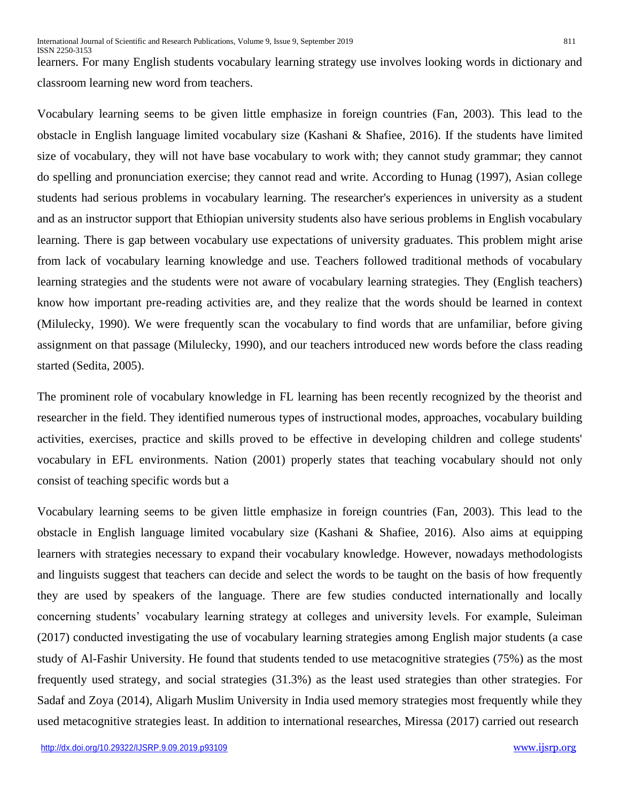learners. For many English students vocabulary learning strategy use involves looking words in dictionary and classroom learning new word from teachers.

Vocabulary learning seems to be given little emphasize in foreign countries (Fan, 2003). This lead to the obstacle in English language limited vocabulary size (Kashani & Shafiee, 2016). If the students have limited size of vocabulary, they will not have base vocabulary to work with; they cannot study grammar; they cannot do spelling and pronunciation exercise; they cannot read and write. According to Hunag (1997), Asian college students had serious problems in vocabulary learning. The researcher's experiences in university as a student and as an instructor support that Ethiopian university students also have serious problems in English vocabulary learning. There is gap between vocabulary use expectations of university graduates. This problem might arise from lack of vocabulary learning knowledge and use. Teachers followed traditional methods of vocabulary learning strategies and the students were not aware of vocabulary learning strategies. They (English teachers) know how important pre-reading activities are, and they realize that the words should be learned in context (Milulecky, 1990). We were frequently scan the vocabulary to find words that are unfamiliar, before giving assignment on that passage (Milulecky, 1990), and our teachers introduced new words before the class reading started (Sedita, 2005).

The prominent role of vocabulary knowledge in FL learning has been recently recognized by the theorist and researcher in the field. They identified numerous types of instructional modes, approaches, vocabulary building activities, exercises, practice and skills proved to be effective in developing children and college students' vocabulary in EFL environments. Nation (2001) properly states that teaching vocabulary should not only consist of teaching specific words but a

Vocabulary learning seems to be given little emphasize in foreign countries (Fan, 2003). This lead to the obstacle in English language limited vocabulary size (Kashani & Shafiee, 2016). Also aims at equipping learners with strategies necessary to expand their vocabulary knowledge. However, nowadays methodologists and linguists suggest that teachers can decide and select the words to be taught on the basis of how frequently they are used by speakers of the language. There are few studies conducted internationally and locally concerning students' vocabulary learning strategy at colleges and university levels. For example, Suleiman (2017) conducted investigating the use of vocabulary learning strategies among English major students (a case study of Al-Fashir University. He found that students tended to use metacognitive strategies (75%) as the most frequently used strategy, and social strategies (31.3%) as the least used strategies than other strategies. For Sadaf and Zoya (2014), Aligarh Muslim University in India used memory strategies most frequently while they used metacognitive strategies least. In addition to international researches, Miressa (2017) carried out research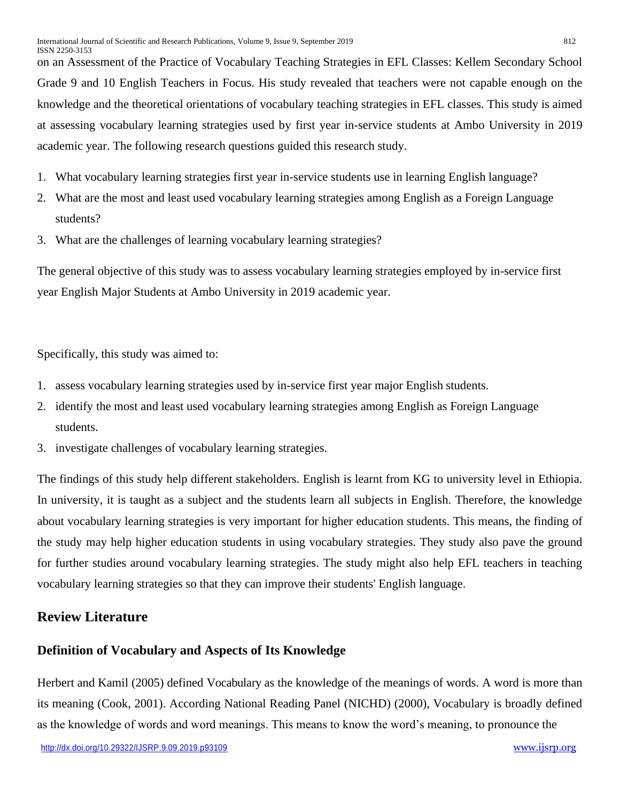on an Assessment of the Practice of Vocabulary Teaching Strategies in EFL Classes: Kellem Secondary School Grade 9 and 10 English Teachers in Focus. His study revealed that teachers were not capable enough on the knowledge and the theoretical orientations of vocabulary teaching strategies in EFL classes. This study is aimed at assessing vocabulary learning strategies used by first year in-service students at Ambo University in 2019 academic year. The following research questions guided this research study.

- 1. What vocabulary learning strategies first year in-service students use in learning English language?
- 2. What are the most and least used vocabulary learning strategies among English as a Foreign Language students?
- 3. What are the challenges of learning vocabulary learning strategies?

The general objective of this study was to assess vocabulary learning strategies employed by in-service first year English Major Students at Ambo University in 2019 academic year.

Specifically, this study was aimed to:

- 1. assess vocabulary learning strategies used by in-service first year major English students.
- 2. identify the most and least used vocabulary learning strategies among English as Foreign Language students.
- 3. investigate challenges of vocabulary learning strategies.

The findings of this study help different stakeholders. English is learnt from KG to university level in Ethiopia. In university, it is taught as a subject and the students learn all subjects in English. Therefore, the knowledge about vocabulary learning strategies is very important for higher education students. This means, the finding of the study may help higher education students in using vocabulary strategies. They study also pave the ground for further studies around vocabulary learning strategies. The study might also help EFL teachers in teaching vocabulary learning strategies so that they can improve their students' English language.

## **Review Literature**

## **Definition of Vocabulary and Aspects of Its Knowledge**

Herbert and Kamil (2005) defined Vocabulary as the knowledge of the meanings of words. A word is more than its meaning (Cook, 2001). According National Reading Panel (NICHD) (2000), Vocabulary is broadly defined as the knowledge of words and word meanings. This means to know the word's meaning, to pronounce the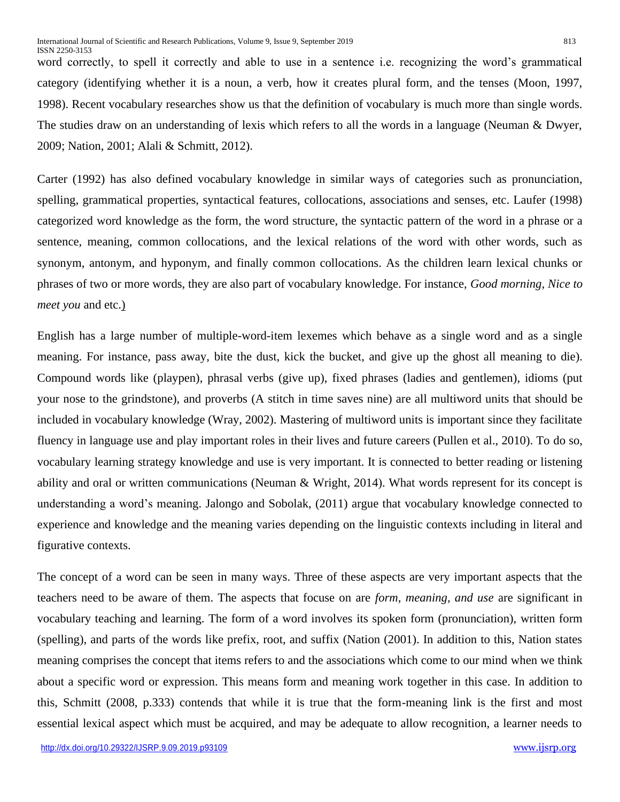word correctly, to spell it correctly and able to use in a sentence i.e. recognizing the word's grammatical category (identifying whether it is a noun, a verb, how it creates plural form, and the tenses (Moon, 1997, 1998). Recent vocabulary researches show us that the definition of vocabulary is much more than single words. The studies draw on an understanding of lexis which refers to all the words in a language (Neuman & Dwyer, 2009; Nation, 2001; Alali & Schmitt, 2012).

Carter (1992) has also defined vocabulary knowledge in similar ways of categories such as pronunciation, spelling, grammatical properties, syntactical features, collocations, associations and senses, etc. Laufer (1998) categorized word knowledge as the form, the word structure, the syntactic pattern of the word in a phrase or a sentence, meaning, common collocations, and the lexical relations of the word with other words, such as synonym, antonym, and hyponym, and finally common collocations. As the children learn lexical chunks or phrases of two or more words, they are also part of vocabulary knowledge. For instance, *Good morning, Nice to meet you* and etc.)

English has a large number of multiple-word-item lexemes which behave as a single word and as a single meaning. For instance, pass away, bite the dust, kick the bucket, and give up the ghost all meaning to die). Compound words like (playpen), phrasal verbs (give up), fixed phrases (ladies and gentlemen), idioms (put your nose to the grindstone), and proverbs (A stitch in time saves nine) are all multiword units that should be included in vocabulary knowledge (Wray, 2002). Mastering of multiword units is important since they facilitate fluency in language use and play important roles in their lives and future careers (Pullen et al., 2010). To do so, vocabulary learning strategy knowledge and use is very important. It is connected to better reading or listening ability and oral or written communications (Neuman & Wright, 2014). What words represent for its concept is understanding a word's meaning. Jalongo and Sobolak, (2011) argue that vocabulary knowledge connected to experience and knowledge and the meaning varies depending on the linguistic contexts including in literal and figurative contexts.

The concept of a word can be seen in many ways. Three of these aspects are very important aspects that the teachers need to be aware of them. The aspects that focuse on are *form, meaning, and use* are significant in vocabulary teaching and learning. The form of a word involves its spoken form (pronunciation), written form (spelling), and parts of the words like prefix, root, and suffix (Nation (2001). In addition to this, Nation states meaning comprises the concept that items refers to and the associations which come to our mind when we think about a specific word or expression. This means form and meaning work together in this case. In addition to this, Schmitt (2008, p.333) contends that while it is true that the form-meaning link is the first and most essential lexical aspect which must be acquired, and may be adequate to allow recognition, a learner needs to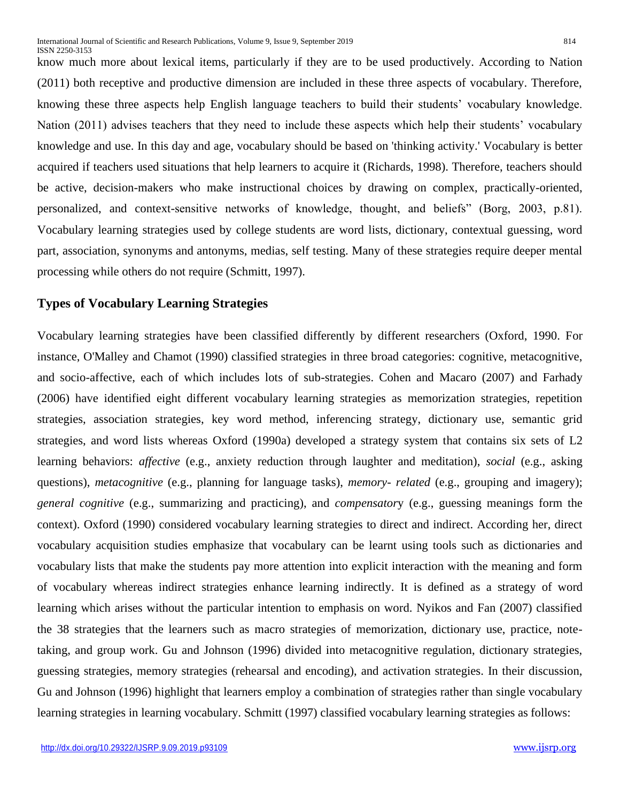know much more about lexical items, particularly if they are to be used productively. According to Nation (2011) both receptive and productive dimension are included in these three aspects of vocabulary. Therefore, knowing these three aspects help English language teachers to build their students' vocabulary knowledge. Nation (2011) advises teachers that they need to include these aspects which help their students' vocabulary knowledge and use. In this day and age, vocabulary should be based on 'thinking activity.' Vocabulary is better acquired if teachers used situations that help learners to acquire it (Richards, 1998). Therefore, teachers should be active, decision-makers who make instructional choices by drawing on complex, practically-oriented, personalized, and context-sensitive networks of knowledge, thought, and beliefs" (Borg, 2003, p.81). Vocabulary learning strategies used by college students are word lists, dictionary, contextual guessing, word part, association, synonyms and antonyms, medias, self testing. Many of these strategies require deeper mental processing while others do not require (Schmitt, 1997).

#### **Types of Vocabulary Learning Strategies**

Vocabulary learning strategies have been classified differently by different researchers (Oxford, 1990. For instance, O'Malley and Chamot (1990) classified strategies in three broad categories: cognitive, metacognitive, and socio-affective, each of which includes lots of sub-strategies. Cohen and Macaro (2007) and Farhady (2006) have identified eight different vocabulary learning strategies as memorization strategies, repetition strategies, association strategies, key word method, inferencing strategy, dictionary use, semantic grid strategies, and word lists whereas Oxford (1990a) developed a strategy system that contains six sets of L2 learning behaviors: *affective* (e.g., anxiety reduction through laughter and meditation), *social* (e.g., asking questions), *metacognitive* (e.g., planning for language tasks), *memory- related* (e.g., grouping and imagery); *general cognitive* (e.g., summarizing and practicing), and *compensator*y (e.g., guessing meanings form the context). Oxford (1990) considered vocabulary learning strategies to direct and indirect. According her, direct vocabulary acquisition studies emphasize that vocabulary can be learnt using tools such as dictionaries and vocabulary lists that make the students pay more attention into explicit interaction with the meaning and form of vocabulary whereas indirect strategies enhance learning indirectly. It is defined as a strategy of word learning which arises without the particular intention to emphasis on word. Nyikos and Fan (2007) classified the 38 strategies that the learners such as macro strategies of memorization, dictionary use, practice, notetaking, and group work. Gu and Johnson (1996) divided into metacognitive regulation, dictionary strategies, guessing strategies, memory strategies (rehearsal and encoding), and activation strategies. In their discussion, Gu and Johnson (1996) highlight that learners employ a combination of strategies rather than single vocabulary learning strategies in learning vocabulary. Schmitt (1997) classified vocabulary learning strategies as follows: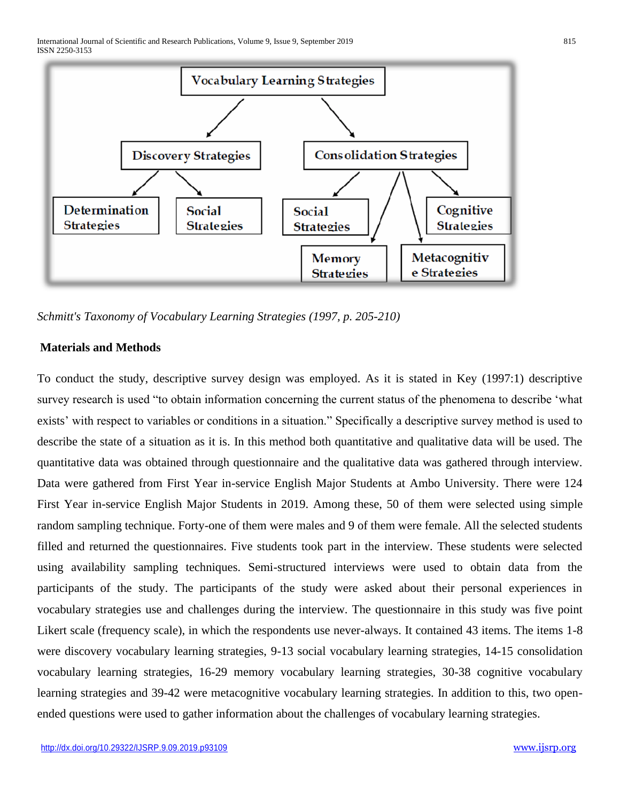

*Schmitt's Taxonomy of Vocabulary Learning Strategies (1997, p. 205-210)*

### **Materials and Methods**

To conduct the study, descriptive survey design was employed. As it is stated in Key (1997:1) descriptive survey research is used "to obtain information concerning the current status of the phenomena to describe 'what exists' with respect to variables or conditions in a situation." Specifically a descriptive survey method is used to describe the state of a situation as it is. In this method both quantitative and qualitative data will be used. The quantitative data was obtained through questionnaire and the qualitative data was gathered through interview. Data were gathered from First Year in-service English Major Students at Ambo University. There were 124 First Year in-service English Major Students in 2019. Among these, 50 of them were selected using simple random sampling technique. Forty-one of them were males and 9 of them were female. All the selected students filled and returned the questionnaires. Five students took part in the interview. These students were selected using availability sampling techniques. Semi-structured interviews were used to obtain data from the participants of the study. The participants of the study were asked about their personal experiences in vocabulary strategies use and challenges during the interview. The questionnaire in this study was five point Likert scale (frequency scale), in which the respondents use never-always. It contained 43 items. The items 1-8 were discovery vocabulary learning strategies, 9-13 social vocabulary learning strategies, 14-15 consolidation vocabulary learning strategies, 16-29 memory vocabulary learning strategies, 30-38 cognitive vocabulary learning strategies and 39-42 were metacognitive vocabulary learning strategies. In addition to this, two openended questions were used to gather information about the challenges of vocabulary learning strategies.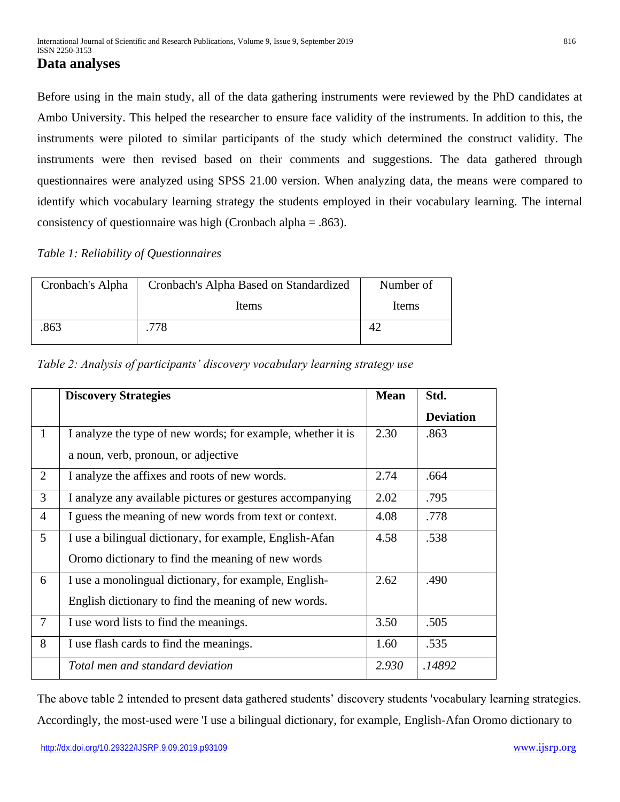## **Data analyses**

Before using in the main study, all of the data gathering instruments were reviewed by the PhD candidates at Ambo University. This helped the researcher to ensure face validity of the instruments. In addition to this, the instruments were piloted to similar participants of the study which determined the construct validity. The instruments were then revised based on their comments and suggestions. The data gathered through questionnaires were analyzed using SPSS 21.00 version. When analyzing data, the means were compared to identify which vocabulary learning strategy the students employed in their vocabulary learning. The internal consistency of questionnaire was high (Cronbach alpha = .863).

## *Table 1: Reliability of Questionnaires*

| Cronbach's Alpha | Cronbach's Alpha Based on Standardized | Number of |
|------------------|----------------------------------------|-----------|
|                  | Items                                  | Items     |
| 863              | 778                                    |           |

*Table 2: Analysis of participants' discovery vocabulary learning strategy use*

|                | <b>Discovery Strategies</b>                                 | <b>Mean</b> | Std.             |
|----------------|-------------------------------------------------------------|-------------|------------------|
|                |                                                             |             | <b>Deviation</b> |
| $\mathbf{1}$   | I analyze the type of new words; for example, whether it is | 2.30        | .863             |
|                | a noun, verb, pronoun, or adjective                         |             |                  |
| $\overline{2}$ | I analyze the affixes and roots of new words.               | 2.74        | .664             |
| 3              | I analyze any available pictures or gestures accompanying   | 2.02        | .795             |
| $\overline{4}$ | I guess the meaning of new words from text or context.      | 4.08        | .778             |
| 5              | I use a bilingual dictionary, for example, English-Afan     | 4.58        | .538             |
|                | Oromo dictionary to find the meaning of new words           |             |                  |
| 6              | I use a monolingual dictionary, for example, English-       | 2.62        | .490             |
|                | English dictionary to find the meaning of new words.        |             |                  |
| $\overline{7}$ | I use word lists to find the meanings.                      | 3.50        | .505             |
| 8              | I use flash cards to find the meanings.                     | 1.60        | .535             |
|                | Total men and standard deviation                            | 2.930       | .14892           |

The above table 2 intended to present data gathered students' discovery students 'vocabulary learning strategies. Accordingly, the most-used were 'I use a bilingual dictionary, for example, English-Afan Oromo dictionary to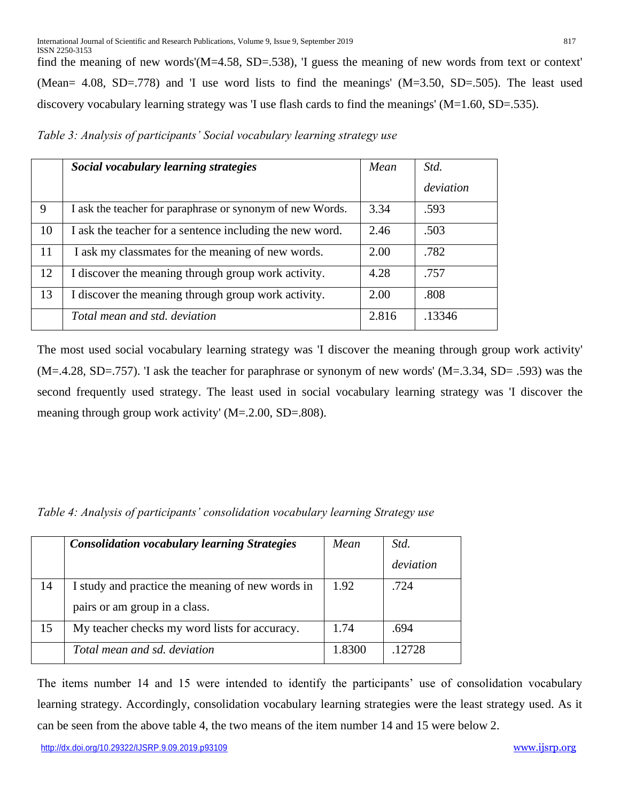find the meaning of new words'(M=4.58, SD=.538), 'I guess the meaning of new words from text or context' (Mean=  $4.08$ , SD=.778) and 'I use word lists to find the meanings' (M=3.50, SD=.505). The least used discovery vocabulary learning strategy was 'I use flash cards to find the meanings'  $(M=1.60, SD=.535)$ .

*Table 3: Analysis of participants' Social vocabulary learning strategy use*

|    | Social vocabulary learning strategies                     | Mean  | Std.      |
|----|-----------------------------------------------------------|-------|-----------|
|    |                                                           |       | deviation |
| 9  | I ask the teacher for paraphrase or synonym of new Words. | 3.34  | .593      |
| 10 | I ask the teacher for a sentence including the new word.  | 2.46  | .503      |
| 11 | I ask my classmates for the meaning of new words.         | 2.00  | .782      |
| 12 | I discover the meaning through group work activity.       | 4.28  | .757      |
| 13 | I discover the meaning through group work activity.       | 2.00  | .808      |
|    | Total mean and std. deviation                             | 2.816 | .13346    |

The most used social vocabulary learning strategy was 'I discover the meaning through group work activity' (M=.4.28, SD=.757). 'I ask the teacher for paraphrase or synonym of new words' (M=.3.34, SD= .593) was the second frequently used strategy. The least used in social vocabulary learning strategy was 'I discover the meaning through group work activity' (M=.2.00, SD=.808).

|  | Table 4: Analysis of participants' consolidation vocabulary learning Strategy use |
|--|-----------------------------------------------------------------------------------|
|--|-----------------------------------------------------------------------------------|

|    | <b>Consolidation vocabulary learning Strategies</b> | Mean   | Std.      |
|----|-----------------------------------------------------|--------|-----------|
|    |                                                     |        | deviation |
| 14 | I study and practice the meaning of new words in    | 1.92   | .724      |
|    | pairs or am group in a class.                       |        |           |
| 15 | My teacher checks my word lists for accuracy.       | 1.74   | .694      |
|    | Total mean and sd. deviation                        | 1.8300 | .12728    |

The items number 14 and 15 were intended to identify the participants' use of consolidation vocabulary learning strategy. Accordingly, consolidation vocabulary learning strategies were the least strategy used. As it can be seen from the above table 4, the two means of the item number 14 and 15 were below 2.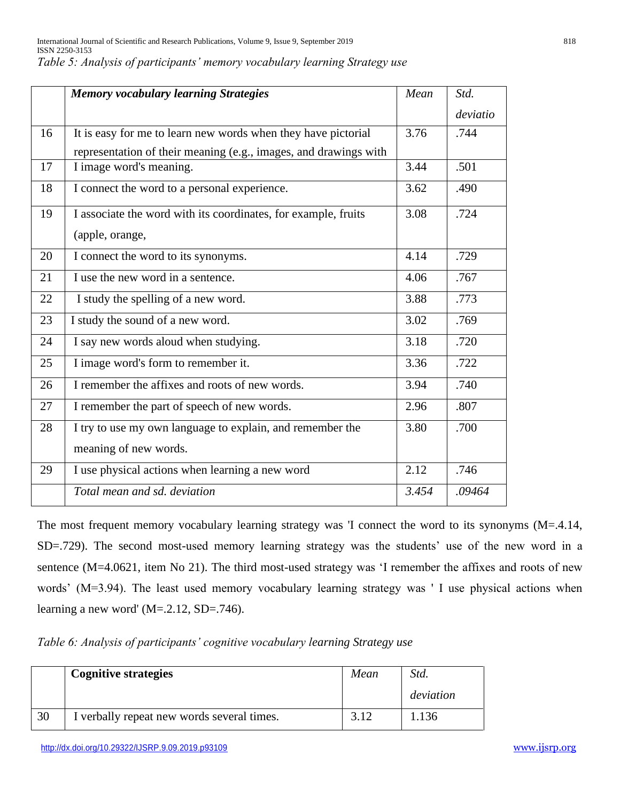|    | <b>Memory vocabulary learning Strategies</b>                     | Mean  | Std.     |
|----|------------------------------------------------------------------|-------|----------|
|    |                                                                  |       | deviatio |
| 16 | It is easy for me to learn new words when they have pictorial    | 3.76  | .744     |
|    | representation of their meaning (e.g., images, and drawings with |       |          |
| 17 | I image word's meaning.                                          | 3.44  | .501     |
| 18 | I connect the word to a personal experience.                     | 3.62  | .490     |
| 19 | I associate the word with its coordinates, for example, fruits   | 3.08  | .724     |
|    | (apple, orange,                                                  |       |          |
| 20 | I connect the word to its synonyms.                              | 4.14  | .729     |
| 21 | I use the new word in a sentence.                                | 4.06  | .767     |
| 22 | I study the spelling of a new word.                              | 3.88  | .773     |
| 23 | I study the sound of a new word.                                 | 3.02  | .769     |
| 24 | I say new words aloud when studying.                             | 3.18  | .720     |
| 25 | I image word's form to remember it.                              | 3.36  | .722     |
| 26 | I remember the affixes and roots of new words.                   | 3.94  | .740     |
| 27 | I remember the part of speech of new words.                      | 2.96  | .807     |
| 28 | I try to use my own language to explain, and remember the        | 3.80  | .700     |
|    | meaning of new words.                                            |       |          |
| 29 | I use physical actions when learning a new word                  | 2.12  | .746     |
|    | Total mean and sd. deviation                                     | 3.454 | .09464   |

The most frequent memory vocabulary learning strategy was 'I connect the word to its synonyms (M=.4.14, SD=.729). The second most-used memory learning strategy was the students' use of the new word in a sentence (M=4.0621, item No 21). The third most-used strategy was 'I remember the affixes and roots of new words' (M=3.94). The least used memory vocabulary learning strategy was ' I use physical actions when learning a new word'  $(M=2.12, SD=.746)$ .

*Table 6: Analysis of participants' cognitive vocabulary learning Strategy use*

|    | <b>Cognitive strategies</b>                | Mean | Std.      |
|----|--------------------------------------------|------|-----------|
|    |                                            |      | deviation |
| 30 | I verbally repeat new words several times. | 3.12 | .136      |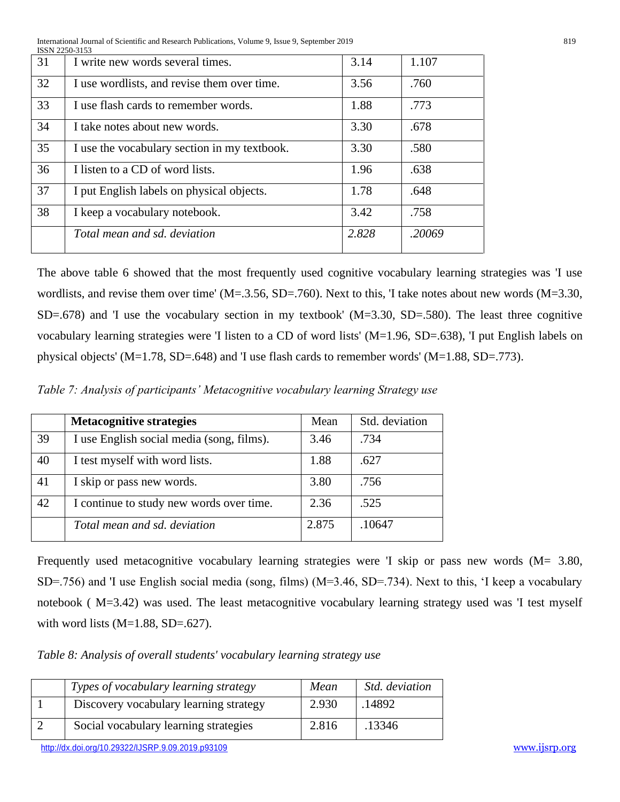| 31 | I write new words several times.             | 3.14  | 1.107  |
|----|----------------------------------------------|-------|--------|
| 32 | I use wordlists, and revise them over time.  | 3.56  | .760   |
| 33 | I use flash cards to remember words.         | 1.88  | .773   |
| 34 | I take notes about new words.                | 3.30  | .678   |
| 35 | I use the vocabulary section in my textbook. | 3.30  | .580   |
| 36 | I listen to a CD of word lists.              | 1.96  | .638   |
| 37 | I put English labels on physical objects.    | 1.78  | .648   |
| 38 | I keep a vocabulary notebook.                | 3.42  | .758   |
|    | Total mean and sd. deviation                 | 2.828 | .20069 |

The above table 6 showed that the most frequently used cognitive vocabulary learning strategies was 'I use wordlists, and revise them over time' (M=.3.56, SD=.760). Next to this, 'I take notes about new words (M=3.30,  $SD=.678$ ) and 'I use the vocabulary section in my textbook' (M=3.30, SD=.580). The least three cognitive vocabulary learning strategies were 'I listen to a CD of word lists' (M=1.96, SD=.638), 'I put English labels on physical objects' (M=1.78, SD=.648) and 'I use flash cards to remember words' (M=1.88, SD=.773).

*Table 7: Analysis of participants' Metacognitive vocabulary learning Strategy use*

|    | <b>Metacognitive strategies</b>           | Mean  | Std. deviation |
|----|-------------------------------------------|-------|----------------|
| 39 | I use English social media (song, films). | 3.46  | .734           |
| 40 | I test myself with word lists.            | 1.88  | .627           |
| 41 | I skip or pass new words.                 | 3.80  | .756           |
| 42 | I continue to study new words over time.  | 2.36  | .525           |
|    | Total mean and sd. deviation              | 2.875 | .10647         |

Frequently used metacognitive vocabulary learning strategies were 'I skip or pass new words (M= 3.80, SD=.756) and 'I use English social media (song, films) (M=3.46, SD=.734). Next to this, 'I keep a vocabulary notebook ( M=3.42) was used. The least metacognitive vocabulary learning strategy used was 'I test myself with word lists  $(M=1.88, SD=.627)$ .

*Table 8: Analysis of overall students' vocabulary learning strategy use*

| Types of vocabulary learning strategy  | Mean  | Std. deviation    |
|----------------------------------------|-------|-------------------|
| Discovery vocabulary learning strategy | 2.930 | $\frac{14892}{ }$ |
| Social vocabulary learning strategies  | 2.816 | .13346            |

<http://dx.doi.org/10.29322/IJSRP.9.09.2019.p93109> [www.ijsrp.org](http://ijsrp.org/)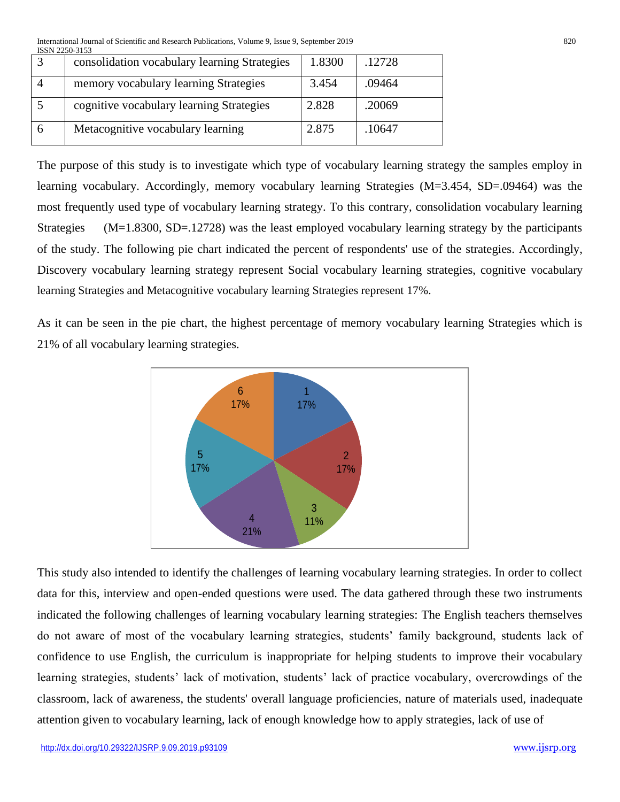|   | consolidation vocabulary learning Strategies | 1.8300 | .12728 |  |
|---|----------------------------------------------|--------|--------|--|
|   | memory vocabulary learning Strategies        | 3.454  | .09464 |  |
|   | cognitive vocabulary learning Strategies     | 2.828  | .20069 |  |
| h | Metacognitive vocabulary learning            | 2.875  | .10647 |  |

The purpose of this study is to investigate which type of vocabulary learning strategy the samples employ in learning vocabulary. Accordingly, memory vocabulary learning Strategies (M=3.454, SD=.09464) was the most frequently used type of vocabulary learning strategy. To this contrary, consolidation vocabulary learning Strategies (M=1.8300, SD=.12728) was the least employed vocabulary learning strategy by the participants of the study. The following pie chart indicated the percent of respondents' use of the strategies. Accordingly, Discovery vocabulary learning strategy represent Social vocabulary learning strategies, cognitive vocabulary learning Strategies and Metacognitive vocabulary learning Strategies represent 17%.

As it can be seen in the pie chart, the highest percentage of memory vocabulary learning Strategies which is 21% of all vocabulary learning strategies.



This study also intended to identify the challenges of learning vocabulary learning strategies. In order to collect data for this, interview and open-ended questions were used. The data gathered through these two instruments indicated the following challenges of learning vocabulary learning strategies: The English teachers themselves do not aware of most of the vocabulary learning strategies, students' family background, students lack of confidence to use English, the curriculum is inappropriate for helping students to improve their vocabulary learning strategies, students' lack of motivation, students' lack of practice vocabulary, overcrowdings of the classroom, lack of awareness, the students' overall language proficiencies, nature of materials used, inadequate attention given to vocabulary learning, lack of enough knowledge how to apply strategies, lack of use of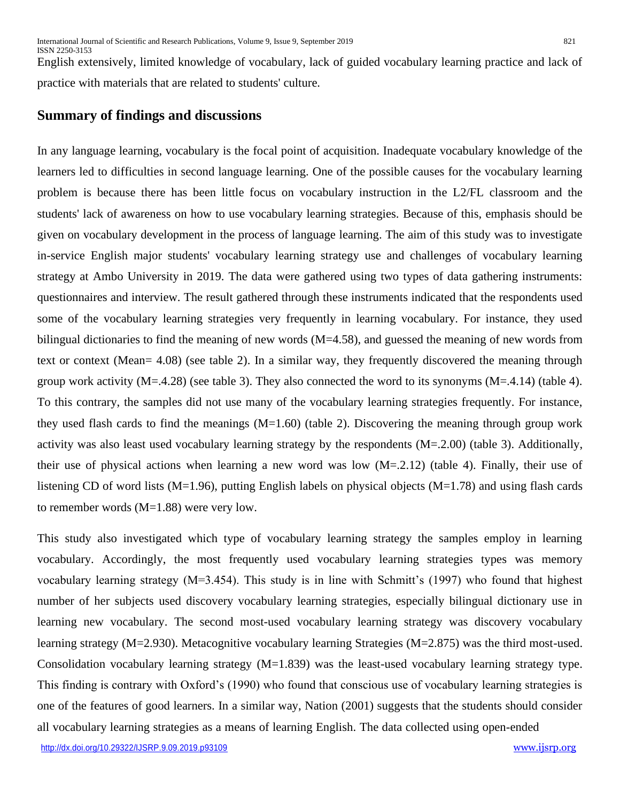English extensively, limited knowledge of vocabulary, lack of guided vocabulary learning practice and lack of practice with materials that are related to students' culture.

#### **Summary of findings and discussions**

In any language learning, vocabulary is the focal point of acquisition. Inadequate vocabulary knowledge of the learners led to difficulties in second language learning. One of the possible causes for the vocabulary learning problem is because there has been little focus on vocabulary instruction in the L2/FL classroom and the students' lack of awareness on how to use vocabulary learning strategies. Because of this, emphasis should be given on vocabulary development in the process of language learning. The aim of this study was to investigate in-service English major students' vocabulary learning strategy use and challenges of vocabulary learning strategy at Ambo University in 2019. The data were gathered using two types of data gathering instruments: questionnaires and interview. The result gathered through these instruments indicated that the respondents used some of the vocabulary learning strategies very frequently in learning vocabulary. For instance, they used bilingual dictionaries to find the meaning of new words (M=4.58), and guessed the meaning of new words from text or context (Mean= 4.08) (see table 2). In a similar way, they frequently discovered the meaning through group work activity  $(M=4.28)$  (see table 3). They also connected the word to its synonyms  $(M=4.14)$  (table 4). To this contrary, the samples did not use many of the vocabulary learning strategies frequently. For instance, they used flash cards to find the meanings  $(M=1.60)$  (table 2). Discovering the meaning through group work activity was also least used vocabulary learning strategy by the respondents  $(M=2.00)$  (table 3). Additionally, their use of physical actions when learning a new word was low  $(M=2.12)$  (table 4). Finally, their use of listening CD of word lists (M=1.96), putting English labels on physical objects (M=1.78) and using flash cards to remember words (M=1.88) were very low.

This study also investigated which type of vocabulary learning strategy the samples employ in learning vocabulary. Accordingly, the most frequently used vocabulary learning strategies types was memory vocabulary learning strategy (M=3.454). This study is in line with Schmitt's (1997) who found that highest number of her subjects used discovery vocabulary learning strategies, especially bilingual dictionary use in learning new vocabulary. The second most-used vocabulary learning strategy was discovery vocabulary learning strategy (M=2.930). Metacognitive vocabulary learning Strategies (M=2.875) was the third most-used. Consolidation vocabulary learning strategy (M=1.839) was the least-used vocabulary learning strategy type. This finding is contrary with Oxford's (1990) who found that conscious use of vocabulary learning strategies is one of the features of good learners. In a similar way, Nation (2001) suggests that the students should consider all vocabulary learning strategies as a means of learning English. The data collected using open-ended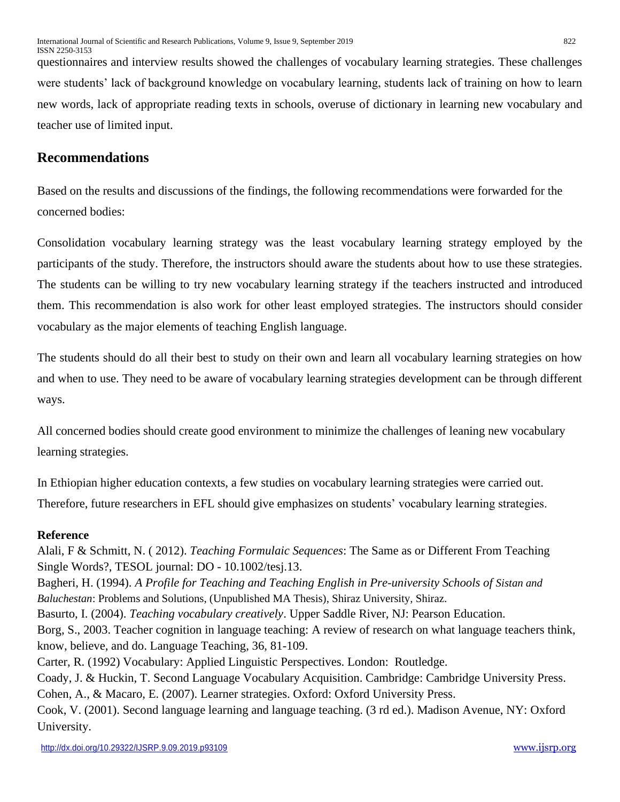questionnaires and interview results showed the challenges of vocabulary learning strategies. These challenges were students' lack of background knowledge on vocabulary learning, students lack of training on how to learn new words, lack of appropriate reading texts in schools, overuse of dictionary in learning new vocabulary and teacher use of limited input.

## **Recommendations**

Based on the results and discussions of the findings, the following recommendations were forwarded for the concerned bodies:

Consolidation vocabulary learning strategy was the least vocabulary learning strategy employed by the participants of the study. Therefore, the instructors should aware the students about how to use these strategies. The students can be willing to try new vocabulary learning strategy if the teachers instructed and introduced them. This recommendation is also work for other least employed strategies. The instructors should consider vocabulary as the major elements of teaching English language.

The students should do all their best to study on their own and learn all vocabulary learning strategies on how and when to use. They need to be aware of vocabulary learning strategies development can be through different ways.

All concerned bodies should create good environment to minimize the challenges of leaning new vocabulary learning strategies.

In Ethiopian higher education contexts, a few studies on vocabulary learning strategies were carried out. Therefore, future researchers in EFL should give emphasizes on students' vocabulary learning strategies.

## **Reference**

Alali, F & Schmitt, N. ( 2012). *Teaching Formulaic Sequences*: The Same as or Different From Teaching Single Words?, TESOL journal: DO - 10.1002/tesj.13. Bagheri, H. (1994). *A Profile for Teaching and Teaching English in Pre-university Schools of Sistan and Baluchestan*: Problems and Solutions, (Unpublished MA Thesis), Shiraz University, Shiraz. Basurto, I. (2004). *Teaching vocabulary creatively*. Upper Saddle River, NJ: Pearson Education. Borg, S., 2003. Teacher cognition in language teaching: A review of research on what language teachers think, know, believe, and do. Language Teaching, 36, 81-109. Carter, R. (1992) Vocabulary: Applied Linguistic Perspectives. London: Routledge. Coady, J. & Huckin, T. Second Language Vocabulary Acquisition. Cambridge: Cambridge University Press. Cohen, A., & Macaro, E. (2007). Learner strategies. Oxford: Oxford University Press. Cook, V. (2001). Second language learning and language teaching. (3 rd ed.). Madison Avenue, NY: Oxford University.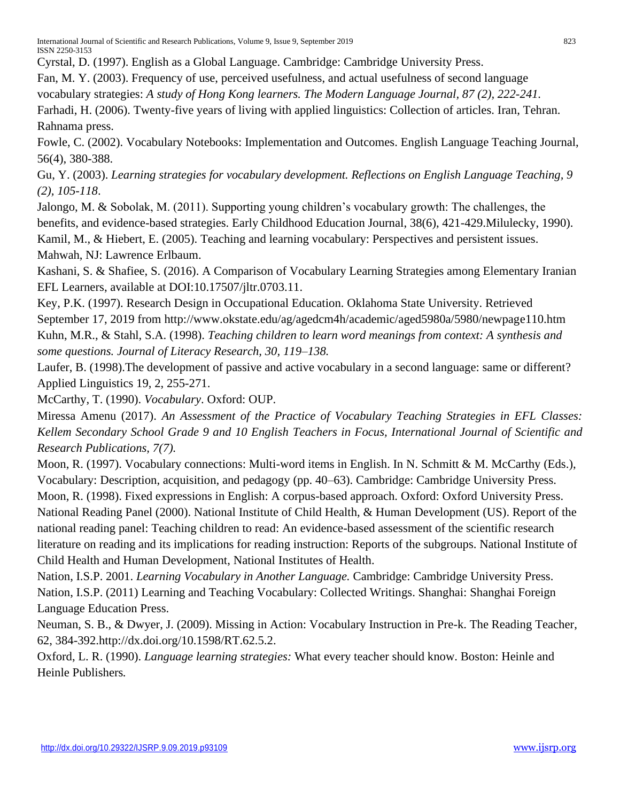Cyrstal, D. (1997). English as a Global Language. Cambridge: Cambridge University Press.

Fan, M. Y. (2003). Frequency of use, perceived usefulness, and actual usefulness of second language

vocabulary strategies: *A study of Hong Kong learners. The Modern Language Journal, 87 (2), 222-241.*

Farhadi, H. (2006). Twenty-five years of living with applied linguistics: Collection of articles. Iran, Tehran. Rahnama press.

Fowle, C. (2002). Vocabulary Notebooks: Implementation and Outcomes. English Language Teaching Journal, 56(4), 380-388.

Gu, Y. (2003). *Learning strategies for vocabulary development. Reflections on English Language Teaching, 9 (2), 105-118*.

Jalongo, M. & Sobolak, M. (2011). Supporting young children's vocabulary growth: The challenges, the benefits, and evidence-based strategies. Early Childhood Education Journal, 38(6), 421-429.Milulecky, 1990). Kamil, M., & Hiebert, E. (2005). Teaching and learning vocabulary: Perspectives and persistent issues. Mahwah, NJ: Lawrence Erlbaum.

Kashani, S. & Shafiee, S. (2016). A Comparison of Vocabulary Learning Strategies among Elementary Iranian EFL Learners, available at DOI:10.17507/jltr.0703.11.

Key, P.K. (1997). Research Design in Occupational Education. Oklahoma State University. Retrieved September 17, 2019 [from http://www.okstate.edu/ag/agedcm4h/academic/aged5980a/5980/newpage110.htm](http://www.okstate.edu/ag/agedcm4h/academic/aged5980a/5980/newpage110.htm) Kuhn, M.R., & Stahl, S.A. (1998). *Teaching children to learn word meanings from context: A synthesis and some questions. Journal of Literacy Research, 30, 119–138.*

Laufer, B. (1998).The development of passive and active vocabulary in a second language: same or different? Applied Linguistics 19, 2, 255-271.

McCarthy, T. (1990). *Vocabulary*. Oxford: OUP.

Miressa Amenu (2017). *An Assessment of the Practice of Vocabulary Teaching Strategies in EFL Classes: Kellem Secondary School Grade 9 and 10 English Teachers in Focus, International Journal of Scientific and Research Publications, 7(7).*

Moon, R. (1997). Vocabulary connections: Multi-word items in English. In N. Schmitt & M. McCarthy (Eds.), Vocabulary: Description, acquisition, and pedagogy (pp. 40–63). Cambridge: Cambridge University Press. Moon, R. (1998). Fixed expressions in English: A corpus-based approach. Oxford: Oxford University Press. National Reading Panel (2000). National Institute of Child Health, & Human Development (US). Report of the national reading panel: Teaching children to read: An evidence-based assessment of the scientific research literature on reading and its implications for reading instruction: Reports of the subgroups. National Institute of Child Health and Human Development, National Institutes of Health.

Nation, I.S.P. 2001. *Learning Vocabulary in Another Language.* Cambridge: Cambridge University Press. Nation, I.S.P. (2011) Learning and Teaching Vocabulary: Collected Writings. Shanghai: Shanghai Foreign Language Education Press.

Neuman, S. B., & Dwyer, J. (2009). Missing in Action: Vocabulary Instruction in Pre-k. The Reading Teacher, [62, 384-392.http](http://dx.doi.org/10.1598/RT.62.5.2):/[/dx.doi.org/10.1598/RT.62.5.2.](http://dx.doi.org/10.1598/RT.62.5.2)

Oxford, L. R. (1990). *Language learning strategies:* What every teacher should know. Boston: Heinle and Heinle Publishers*.*